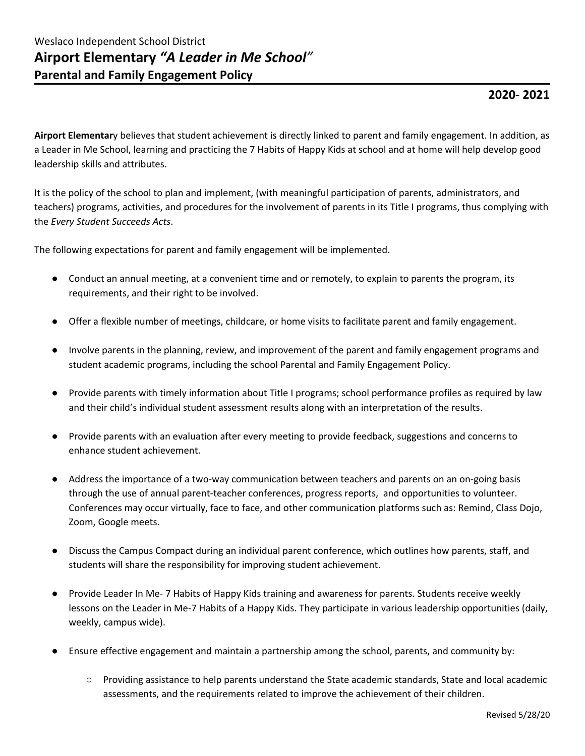## **2020- 2021**

**Airport Elementar**y believes that student achievement is directly linked to parent and family engagement. In addition, as a Leader in Me School, learning and practicing the 7 Habits of Happy Kids at school and at home will help develop good leadership skills and attributes.

It is the policy of the school to plan and implement, (with meaningful participation of parents, administrators, and teachers) programs, activities, and procedures for the involvement of parents in its Title I programs, thus complying with the *Every Student Succeeds Acts*.

The following expectations for parent and family engagement will be implemented.

- Conduct an annual meeting, at a convenient time and or remotely, to explain to parents the program, its requirements, and their right to be involved.
- Offer a flexible number of meetings, childcare, or home visits to facilitate parent and family engagement.
- Involve parents in the planning, review, and improvement of the parent and family engagement programs and student academic programs, including the school Parental and Family Engagement Policy.
- Provide parents with timely information about Title I programs; school performance profiles as required by law and their child's individual student assessment results along with an interpretation of the results.
- Provide parents with an evaluation after every meeting to provide feedback, suggestions and concerns to enhance student achievement.
- Address the importance of a two-way communication between teachers and parents on an on-going basis through the use of annual parent-teacher conferences, progress reports, and opportunities to volunteer. Conferences may occur virtually, face to face, and other communication platforms such as: Remind, Class Dojo, Zoom, Google meets.
- Discuss the Campus Compact during an individual parent conference, which outlines how parents, staff, and students will share the responsibility for improving student achievement.
- Provide Leader In Me- 7 Habits of Happy Kids training and awareness for parents. Students receive weekly lessons on the Leader in Me-7 Habits of a Happy Kids. They participate in various leadership opportunities (daily, weekly, campus wide).
- Ensure effective engagement and maintain a partnership among the school, parents, and community by:
	- Providing assistance to help parents understand the State academic standards, State and local academic assessments, and the requirements related to improve the achievement of their children.